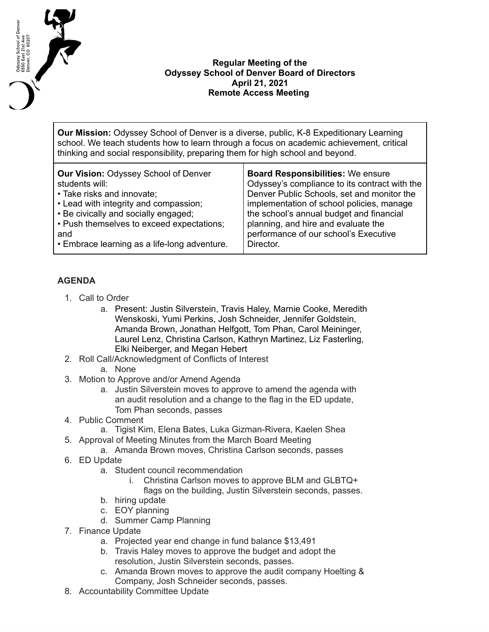

## **Regular Meeting of the Odyssey School of Denver Board of Directors April 21, 2021 Remote Access Meeting**

**Our Mission:** Odyssey School of Denver is a diverse, public, K-8 Expeditionary Learning school. We teach students how to learn through a focus on academic achievement, critical thinking and social responsibility, preparing them for high school and beyond.

| <b>Our Vision: Odyssey School of Denver</b>  | <b>Board Responsibilities: We ensure</b>      |
|----------------------------------------------|-----------------------------------------------|
| students will:                               | Odyssey's compliance to its contract with the |
| • Take risks and innovate;                   | Denver Public Schools, set and monitor the    |
| • Lead with integrity and compassion;        | implementation of school policies, manage     |
| • Be civically and socially engaged;         | the school's annual budget and financial      |
| • Push themselves to exceed expectations;    | planning, and hire and evaluate the           |
| and                                          | performance of our school's Executive         |
| • Embrace learning as a life-long adventure. | Director.                                     |

## **AGENDA**

- 1. Call to Order
	- a. Present: Justin Silverstein, Travis Haley, Marnie Cooke, Meredith Wenskoski, Yumi Perkins, Josh Schneider, Jennifer Goldstein, Amanda Brown, Jonathan Helfgott, Tom Phan, Carol Meininger, Laurel Lenz, Christina Carlson, Kathryn Martinez, Liz Fasterling, Elki Neiberger, and Megan Hebert
- 2. Roll Call/Acknowledgment of Conflicts of Interest
	- a. None
- 3. Motion to Approve and/or Amend Agenda
	- a. Justin Silverstein moves to approve to amend the agenda with an audit resolution and a change to the flag in the ED update, Tom Phan seconds, passes
- 4. Public Comment
	- a. Tigist Kim, Elena Bates, Luka Gizman-Rivera, Kaelen Shea
- 5. Approval of Meeting Minutes from the March Board Meeting
	- a. Amanda Brown moves, Christina Carlson seconds, passes
- 6. ED Update
	- a. Student council recommendation
		- i. Christina Carlson moves to approve BLM and GLBTQ+ flags on the building, Justin Silverstein seconds, passes.
	- b. hiring update
	- c. EOY planning
	- d. Summer Camp Planning
- 7. Finance Update
	- a. Projected year end change in fund balance \$13,491
	- b. Travis Haley moves to approve the budget and adopt the resolution, Justin Silverstein seconds, passes.
	- c. Amanda Brown moves to approve the audit company Hoelting & Company, Josh Schneider seconds, passes.
- 8. Accountability Committee Update